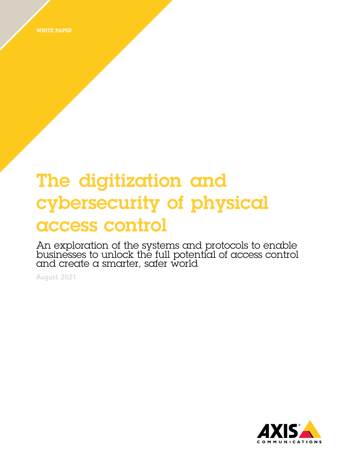WHITE PAPER

# The digitization and cybersecurity of physical access control

An exploration of the systems and protocols to enable businesses to unlock the full potential of access control and create <sup>a</sup> smarter, safer world

**August 2021**

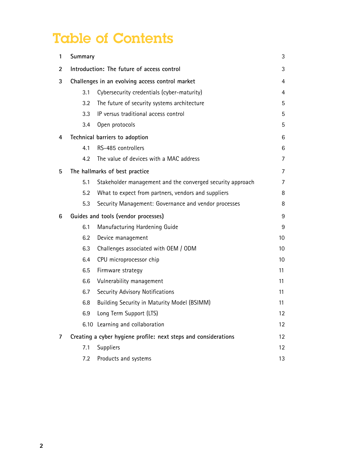# Table of Contents

| 1                                   | Summary                                                         |                                                            | 3       |
|-------------------------------------|-----------------------------------------------------------------|------------------------------------------------------------|---------|
| $\overline{2}$                      | Introduction: The future of access control                      |                                                            | 3       |
| 3                                   | Challenges in an evolving access control market                 |                                                            | 4       |
|                                     | 3.1                                                             | Cybersecurity credentials (cyber-maturity)                 | 4       |
|                                     | 3.2                                                             | The future of security systems architecture                | 5       |
|                                     | 3.3                                                             | IP versus traditional access control                       | 5       |
|                                     | 3.4                                                             | Open protocols                                             | 5       |
| 4                                   |                                                                 | Technical barriers to adoption                             | 6       |
|                                     | 4.1                                                             | RS-485 controllers                                         | 6       |
|                                     | 4.2                                                             | The value of devices with a MAC address                    | 7       |
| The hallmarks of best practice<br>5 |                                                                 |                                                            | 7       |
|                                     | 5.1                                                             | Stakeholder management and the converged security approach | 7       |
|                                     | 5.2                                                             | What to expect from partners, vendors and suppliers        | 8       |
|                                     | 5.3                                                             | Security Management: Governance and vendor processes       | 8       |
| 6                                   | Guides and tools (vendor processes)                             |                                                            | 9       |
|                                     | 6.1                                                             | Manufacturing Hardening Guide                              | 9       |
|                                     | 6.2                                                             | Device management                                          | 10      |
|                                     | 6.3                                                             | Challenges associated with OEM / ODM                       | 10      |
|                                     | 6.4                                                             | CPU microprocessor chip                                    | 10      |
|                                     | 6.5                                                             | Firmware strategy                                          | 11      |
|                                     | 6.6                                                             | Vulnerability management                                   | 11      |
|                                     | 6.7                                                             | Security Advisory Notifications                            | 11      |
|                                     | 6.8                                                             | Building Security in Maturity Model (BSIMM)                | 11      |
|                                     | 6.9                                                             | Long Term Support (LTS)                                    | $12 \,$ |
|                                     |                                                                 | 6.10 Learning and collaboration                            | 12      |
| $\overline{7}$                      | Creating a cyber hygiene profile: next steps and considerations |                                                            | 12      |
|                                     | 7.1                                                             | Suppliers                                                  | 12      |
|                                     | 7.2                                                             | Products and systems                                       | 13      |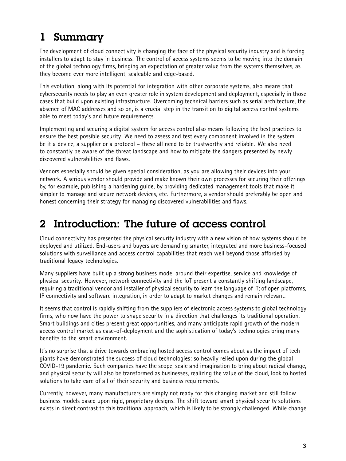# <span id="page-2-0"></span>1 Summary

The development of cloud connectivity is changing the face of the physical security industry and is forcing installers to adapt to stay in business. The control of access systems seems to be moving into the domain of the global technology firms, bringing an expectation of greater value from the systems themselves, as they become ever more intelligent, scaleable and edge-based.

This evolution, along with its potential for integration with other corporate systems, also means that cybersecurity needs to play an even greater role in system development and deployment, especially in those cases that build upon existing infrastructure. Overcoming technical barriers such as serial architecture, the absence of MAC addresses and so on, is <sup>a</sup> crucial step in the transition to digital access control systems able to meet today's and future requirements.

Implementing and securing <sup>a</sup> digital system for access control also means following the best practices to ensure the best possible security. We need to assess and test every component involved in the system, be it <sup>a</sup> device, <sup>a</sup> supplier or <sup>a</sup> protocol – these all need to be trustworthy and reliable. We also need to constantly be aware of the threat landscape and how to mitigate the dangers presented by newly discovered vulnerabilities and flaws.

Vendors especially should be given special consideration, as you are allowing their devices into your network. A serious vendor should provide and make known their own processes for securing their offerings by, for example, publishing <sup>a</sup> hardening guide, by providing dedicated management tools that make it simpler to manage and secure network devices, etc. Furthermore, <sup>a</sup> vendor should preferably be open and honest concerning their strategy for managing discovered vulnerabilities and flaws.

# 2 Introduction: The future of access control

Cloud connectivity has presented the physical security industry with <sup>a</sup> new vision of how systems should be deployed and utilized. End-users and buyers are demanding smarter, integrated and more business-focused solutions with surveillance and access control capabilities that reach well beyond those afforded by traditional legacy technologies.

Many suppliers have built up <sup>a</sup> strong business model around their expertise, service and knowledge of physical security. However, network connectivity and the IoT present <sup>a</sup> constantly shifting landscape, requiring <sup>a</sup> traditional vendor and installer of physical security to learn the language of IT; of open platforms, IP connectivity and software integration, in order to adapt to market changes and remain relevant.

It seems that control is rapidly shifting from the suppliers of electronic access systems to global technology firms, who now have the power to shape security in <sup>a</sup> direction that challenges its traditional operation. Smart buildings and cities present great opportunities, and many anticipate rapid growth of the modern access control market as ease-of-deployment and the sophistication of today's technologies bring many benefits to the smart environment.

It's no surprise that <sup>a</sup> drive towards embracing hosted access control comes about as the impact of tech giants have demonstrated the success of cloud technologies; so heavily relied upon during the global COVID-19 pandemic. Such companies have the scope, scale and imagination to bring about radical change, and physical security will also be transformed as businesses, realizing the value of the cloud, look to hosted solutions to take care of all of their security and business requirements.

Currently, however, many manufacturers are simply not ready for this changing market and still follow business models based upon rigid, proprietary designs. The shift toward smart physical security solutions exists in direct contrast to this traditional approach, which is likely to be strongly challenged. While change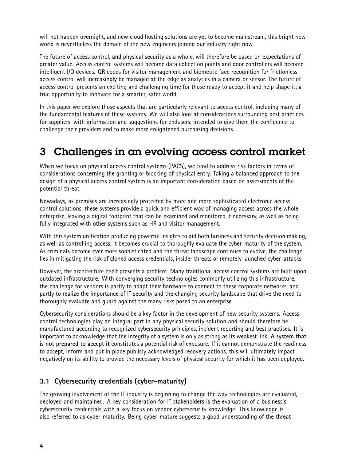<span id="page-3-0"></span>will not happen overnight, and new cloud hosting solutions are yet to become mainstream, this bright new world is nevertheless the domain of the new engineers joining our industry right now.

The future of access control, and physical security as <sup>a</sup> whole, will therefore be based on expectations of greater value. Access control systems will become data collection points and door controllers will become intelligent I/O devices. QR codes for visitor management and biometric face recognition for frictionless access control will increasingly be managed at the edge as analytics in <sup>a</sup> camera or sensor. The future of access control presents an exciting and challenging time for those ready to accept it and help shape it; <sup>a</sup> true opportunity to innovate for <sup>a</sup> smarter, safer world.

In this paper we explore those aspects that are particularly relevant to access control, including many of the fundamental features of these systems. We will also look at considerations surrounding best practices for suppliers, with information and suggestions for endusers, intended to give them the confidence to challenge their providers and to make more enlightened purchasing decisions.

# 3 Challenges in an evolving access control market

When we focus on physical access control systems (PACS), we tend to address risk factors in terms of considerations concerning the granting or blocking of physical entry. Taking <sup>a</sup> balanced approach to the design of <sup>a</sup> physical access control system is an important consideration based on assessments of the potential threat.

Nowadays, as premises are increasingly protected by more and more sophisticated electronic access control solutions, these systems provide <sup>a</sup> quick and efficient way of managing access across the whole enterprise, leaving <sup>a</sup> digital footprint that can be examined and monitored if necessary, as well as being fully integrated with other systems such as HR and visitor management.

With this system unification producing powerful insights to aid both business and security decision making, as well as controlling access, it becomes crucial to thoroughly evaluate the cyber-maturity of the system. As criminals become ever more sophisticated and the threat landscape continues to evolve, the challenge lies in mitigating the risk of cloned access credentials, insider threats or remotely launched cyber-attacks.

However, the architecture itself presents <sup>a</sup> problem. Many traditional access control systems are built upon outdated infrastructure. With converging security technologies commonly utilizing this infrastructure, the challenge for vendors is partly to adapt their hardware to connect to these corporate networks, and partly to realize the importance of IT security and the changing security landscape that drive the need to thoroughly evaluate and guard against the many risks posed to an enterprise.

Cybersecurity considerations should be <sup>a</sup> key factor in the development of new security systems. Access control technologies play an integral part in any physical security solution and should therefore be manufactured according to recognized cybersecurity principles, incident reporting and best practises. It is important to acknowledge that the integrity of <sup>a</sup> system is only as strong as its weakest link. **A system that is not prepared to accept it** constitutes <sup>a</sup> potential risk of exposure. If it cannot demonstrate the readiness to accept, inform and put in place publicly acknowledged recovery actions, this will ultimately impact negatively on its ability to provide the necessary levels of physical security for which it has been deployed.

#### **3.1 Cybersecurity credentials (cyber-maturity)**

The growing involvement of the IT industry is beginning to change the way technologies are evaluated, deployed and maintained. A key consideration for IT stakeholders is the evaluation of <sup>a</sup> business's cybersecurity credentials with <sup>a</sup> key focus on vendor cybersecurity knowledge. This knowledge is also referred to as cyber-maturity. Being cyber-mature suggests <sup>a</sup> good understanding of the threat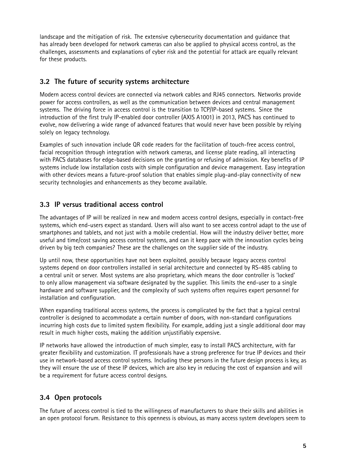<span id="page-4-0"></span>landscape and the mitigation of risk. The extensive cybersecurity documentation and guidance that has already been developed for network cameras can also be applied to physical access control, as the challenges, assessments and explanations of cyber risk and the potential for attack are equally relevant for these products.

#### **3.2 The future of security systems architecture**

Modern access control devices are connected via network cables and RJ45 connectors. Networks provide power for access controllers, as well as the communication between devices and central management systems. The driving force in access control is the transition to TCP/IP-based systems. Since the introduction of the first truly IP-enabled door controller (AXIS A1001) in 2013, PACS has continued to evolve, now delivering <sup>a</sup> wide range of advanced features that would never have been possible by relying solely on legacy technology.

Examples of such innovation include QR code readers for the facilitation of touch-free access control, facial recognition through integration with network cameras, and license plate reading, all interacting with PACS databases for edge-based decisions on the granting or refusing of admission. Key benefits of IP systems include low installation costs with simple configuration and device management. Easy integration with other devices means <sup>a</sup> future-proof solution that enables simple plug-and-play connectivity of new security technologies and enhancements as they become available.

#### **3.3 IP versus traditional access control**

The advantages of IP will be realized in new and modern access control designs, especially in contact-free systems, which end-users expect as standard. Users will also want to see access control adapt to the use of smartphones and tablets, and not just with <sup>a</sup> mobile credential. How will the industry deliver better, more useful and time/cost saving access control systems, and can it keep pace with the innovation cycles being driven by big tech companies? These are the challenges on the supplier side of the industry.

Up until now, these opportunities have not been exploited, possibly because legacy access control systems depend on door controllers installed in serial architecture and connected by RS-485 cabling to <sup>a</sup> central unit or server. Most systems are also proprietary, which means the door controller is 'locked' to only allow management via software designated by the supplier. This limits the end-user to <sup>a</sup> single hardware and software supplier, and the complexity of such systems often requires expert personnel for installation and configuration.

When expanding traditional access systems, the process is complicated by the fact that <sup>a</sup> typical central controller is designed to accommodate <sup>a</sup> certain number of doors, with non-standard configurations incurring high costs due to limited system flexibility. For example, adding just <sup>a</sup> single additional door may result in much higher costs, making the addition unjustifiably expensive.

IP networks have allowed the introduction of much simpler, easy to install PACS architecture, with far greater flexibility and customization. IT professionals have <sup>a</sup> strong preference for true IP devices and their use in network-based access control systems. Including these persons in the future design process is key, as they will ensure the use of these IP devices, which are also key in reducing the cost of expansion and will be <sup>a</sup> requirement for future access control designs.

#### **3.4 Open protocols**

The future of access control is tied to the willingness of manufacturers to share their skills and abilities in an open protocol forum. Resistance to this openness is obvious, as many access system developers seem to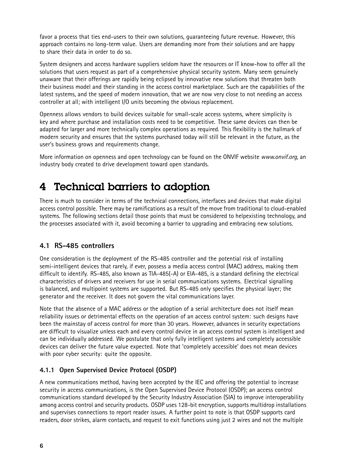<span id="page-5-0"></span>favor <sup>a</sup> process that ties end-users to their own solutions, guaranteeing future revenue. However, this approach contains no long-term value. Users are demanding more from their solutions and are happy to share their data in order to do so.

System designers and access hardware suppliers seldom have the resources or IT know-how to offer all the solutions that users request as part of <sup>a</sup> comprehensive physical security system. Many seem genuinely unaware that their offerings are rapidly being eclipsed by innovative new solutions that threaten both their business model and their standing in the access control marketplace. Such are the capabilities of the latest systems, and the speed of modern innovation, that we are now very close to not needing an access controller at all; with intelligent I/O units becoming the obvious replacement.

Openness allows vendors to build devices suitable for small-scale access systems, where simplicity is key and where purchase and installation costs need to be competitive. These same devices can then be adapted for larger and more technically complex operations as required. This flexibility is the hallmark of modern security and ensures that the systems purchased today will still be relevant in the future, as the user's business grows and requirements change.

More information on openness and open technology can be found on the ONVIF website *www.onvif.org*, an industry body created to drive development toward open standards.

### 4 Technical barriers to adoption

There is much to consider in terms of the technical connections, interfaces and devices that make digital access control possible. There may be ramifications as <sup>a</sup> result of the move from traditional to cloud-enabled systems. The following sections detail those points that must be considered to helpexisting technology, and the processes associated with it, avoid becoming <sup>a</sup> barrier to upgrading and embracing new solutions.

#### **4.1 RS-485 controllers**

One consideration is the deployment of the RS-485 controller and the potential risk of installing semi-intelligent devices that rarely, if ever, possess <sup>a</sup> media access control (MAC) address, making them difficult to identify. RS-485, also known as TIA-485(-A) or EIA-485, is <sup>a</sup> standard defining the electrical characteristics of drivers and receivers for use in serial communications systems. Electrical signalling is balanced, and multipoint systems are supported. But RS-485 only specifies the physical layer; the generator and the receiver. It does not govern the vital communications layer.

Note that the absence of <sup>a</sup> MAC address or the adoption of <sup>a</sup> serial architecture does not itself mean reliability issues or detrimental effects on the operation of an access control system: such designs have been the mainstay of access control for more than 30 years. However, advances in security expectations are difficult to visualize unless each and every control device in an access control system is intelligent and can be individually addressed. We postulate that only fully intelligent systems and completely accessible devices can deliver the future value expected. Note that 'completely accessible' does not mean devices with poor cyber security: quite the opposite.

#### **4.1.1 Open Supervised Device Protocol (OSDP)**

A new communications method, having been accepted by the IEC and offering the potential to increase security in access communications, is the Open Supervised Device Protocol (OSDP); an access control communications standard developed by the Security Industry Association (SIA) to improve interoperability among access control and security products. OSDP uses 128-bit encryption, supports multidrop installations and supervises connections to report reader issues. A further point to note is that OSDP supports card readers, door strikes, alarm contacts, and request to exit functions using just 2 wires and not the multiple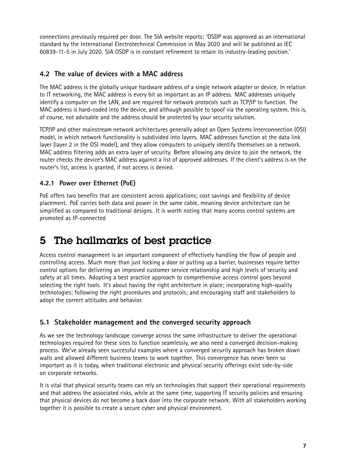<span id="page-6-0"></span>connections previously required per door. The SIA website reports: 'OSDP was approved as an international standard by the International Electrotechnical Commission in May 2020 and will be published as IEC 60839-11-5 in July 2020. SIA OSDP is in constant refinement to retain its industry-leading position.'

#### **4.2 The value of devices with <sup>a</sup> MAC address**

The MAC address is the globally unique hardware address of <sup>a</sup> single network adapter or device. In relation to IT networking, the MAC address is every bit as important as an IP address. MAC addresses uniquely identify <sup>a</sup> computer on the LAN, and are required for network protocols such as TCP/IP to function. The MAC address is hard-coded into the device, and although possible to spoof via the operating system, this is, of course, not advisable and the address should be protected by your security solution.

TCP/IP and other mainstream network architectures generally adopt an Open Systems Interconnection (OSI) model, in which network functionality is subdivided into layers. MAC addresses function at the data link layer (layer <sup>2</sup> in the OSI model), and they allow computers to uniquely identify themselves on <sup>a</sup> network. MAC address filtering adds an extra layer of security. Before allowing any device to join the network, the router checks the device's MAC address against <sup>a</sup> list of approved addresses. If the client's address is on the router's list, access is granted, if not access is denied.

#### **4.2.1 Power over Ethernet (PoE)**

PoE offers two benefits that are consistent across applications; cost savings and flexibility of device placement. PoE carries both data and power in the same cable, meaning device architecture can be simplified as compared to traditional designs. It is worth noting that many access control systems are promoted as IP-connected

## 5 The hallmarks of best practice

Access control management is an important component of effectively handling the flow of people and controlling access. Much more than just locking <sup>a</sup> door or putting up <sup>a</sup> barrier, businesses require better control options for delivering an improved customer service relationship and high levels of security and safety at all times. Adopting <sup>a</sup> best practice approach to comprehensive access control goes beyond selecting the right tools. It's about having the right architecture in place; incorporating high-quality technologies; following the right procedures and protocols; and encouraging staff and stakeholders to adopt the correct attitudes and behavior.

#### **5.1 Stakeholder management and the converged security approach**

As we see the technology landscape converge across the same infrastructure to deliver the operational technologies required for these sites to function seamlessly, we also need <sup>a</sup> converged decision-making process. We've already seen successful examples where <sup>a</sup> converged security approach has broken down walls and allowed different business teams to work together. This convergence has never been so important as it is today, when traditional electronic and physical security offerings exist side-by-side on corporate networks.

It is vital that physical security teams can rely on technologies that support their operational requirements and that address the associated risks, while at the same time, supporting IT security policies and ensuring that physical devices do not become <sup>a</sup> back door into the corporate network. With all stakeholders working together it is possible to create <sup>a</sup> secure cyber and physical environment.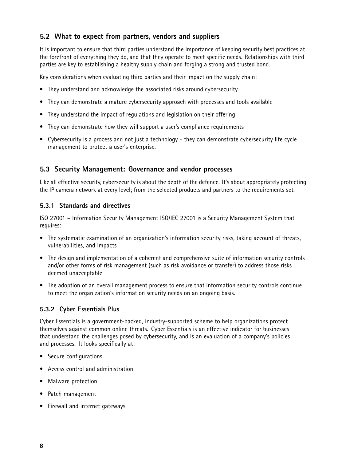#### <span id="page-7-0"></span>**5.2 What to expect from partners, vendors and suppliers**

It is important to ensure that third parties understand the importance of keeping security best practices at the forefront of everything they do, and that they operate to meet specific needs. Relationships with third parties are key to establishing <sup>a</sup> healthy supply chain and forging <sup>a</sup> strong and trusted bond.

Key considerations when evaluating third parties and their impact on the supply chain:

- They understand and acknowledge the associated risks around cybersecurity
- They can demonstrate <sup>a</sup> mature cybersecurity approach with processes and tools available
- They understand the impact of regulations and legislation on their offering
- They can demonstrate how they will support <sup>a</sup> user's compliance requirements
- Cybersecurity is <sup>a</sup> process and not just <sup>a</sup> technology they can demonstrate cybersecurity life cycle management to protect <sup>a</sup> user's enterprise.

#### **5.3 Security Management: Governance and vendor processes**

Like all effective security, cybersecurity is about the depth of the defence. It's about appropriately protecting the IP camera network at every level; from the selected products and partners to the requirements set.

#### **5.3.1 Standards and directives**

ISO <sup>27001</sup> – Information Security Management ISO/IEC <sup>27001</sup> is <sup>a</sup> Security Management System that requires:

- The systematic examination of an organization's information security risks, taking account of threats, vulnerabilities, and impacts
- The design and implementation of <sup>a</sup> coherent and comprehensive suite of information security controls and/or other forms of risk management (such as risk avoidance or transfer) to address those risks deemed unacceptable
- The adoption of an overall management process to ensure that information security controls continue to meet the organization's information security needs on an ongoing basis.

#### **5.3.2 Cyber Essentials Plus**

Cyber Essentials is <sup>a</sup> government-backed, industry-supported scheme to help organizations protect themselves against common online threats. Cyber Essentials is an effective indicator for businesses that understand the challenges posed by cybersecurity, and is an evaluation of <sup>a</sup> company's policies and processes. It looks specifically at:

- Secure configurations
- Access control and administration
- Malware protection
- Patch management
- Firewall and internet gateways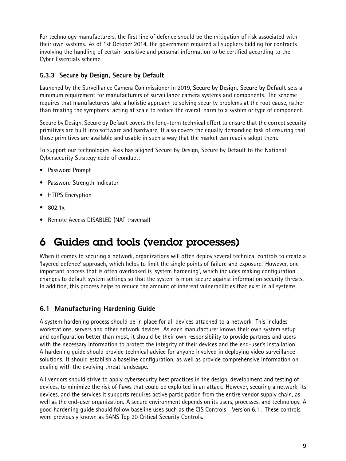<span id="page-8-0"></span>For technology manufacturers, the first line of defence should be the mitigation of risk associated with their own systems. As of 1st October 2014, the government required all suppliers bidding for contracts involving the handling of certain sensitive and personal information to be certified according to the Cyber Essentials scheme.

#### **5.3.3 Secure by Design, Secure by Default**

Launched by the Surveillance Camera Commissioner in 2019, **Secure by Design, Secure by Default** sets <sup>a</sup> minimum requirement for manufacturers of surveillance camera systems and components. The scheme requires that manufacturers take <sup>a</sup> holistic approach to solving security problems at the root cause, rather than treating the symptoms; acting at scale to reduce the overall harm to <sup>a</sup> system or type of component.

Secure by Design, Secure by Default covers the long-term technical effort to ensure that the correct security primitives are built into software and hardware. It also covers the equally demanding task of ensuring that those primitives are available and usable in such <sup>a</sup> way that the market can readily adopt them.

To support our technologies, Axis has aligned Secure by Design, Secure by Default to the National Cybersecurity Strategy code of conduct:

- Password Prompt
- Password Strength Indicator
- HTTPS Encryption
- 802.1x
- Remote Access DISABLED (NAT traversal)

## 6 Guides and tools (vendor processes)

When it comes to securing <sup>a</sup> network, organizations will often deploy several technical controls to create <sup>a</sup> 'layered defence' approach, which helps to limit the single points of failure and exposure. However, one important process that is often overlooked is 'system hardening', which includes making configuration changes to default system settings so that the system is more secure against information security threats. In addition, this process helps to reduce the amount of inherent vulnerabilities that exist in all systems.

#### **6.1 Manufacturing Hardening Guide**

A system hardening process should be in place for all devices attached to <sup>a</sup> network. This includes workstations, servers and other network devices. As each manufacturer knows their own system setup and configuration better than most, it should be their own responsibility to provide partners and users with the necessary information to protect the integrity of their devices and the end-user's installation. A hardening guide should provide technical advice for anyone involved in deploying video surveillance solutions. It should establish <sup>a</sup> baseline configuration, as well as provide comprehensive information on dealing with the evolving threat landscape.

All vendors should strive to apply cybersecurity best practices in the design, development and testing of devices, to minimize the risk of flaws that could be exploited in an attack. However, securing <sup>a</sup> network, its devices, and the services it supports requires active participation from the entire vendor supply chain, as well as the end-user organization. A secure environment depends on its users, processes, and technology. A good hardening guide should follow baseline uses such as the CIS Controls - Version 6.1 . These controls were previously known as SANS Top 20 Critical Security Controls.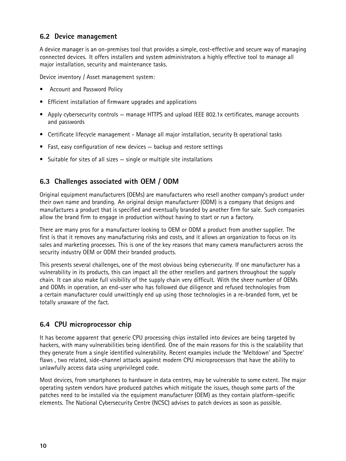#### <span id="page-9-0"></span>**6.2 Device management**

A device manager is an on-premises tool that provides <sup>a</sup> simple, cost-effective and secure way of managing connected devices. It offers installers and system administrators <sup>a</sup> highly effective tool to manage all major installation, security and maintenance tasks.

Device inventory / Asset management system:

- •Account and Password Policy
- Efficient installation of firmware upgrades and applications
- Apply cybersecurity controls manage HTTPS and upload IEEE 802.1x certificates, manage accounts and passwords
- Certificate lifecycle management Manage all major installation, security & operational tasks
- Fast, easy configuration of new devices backup and restore settings
- Suitable for sites of all sizes single or multiple site installations

#### **6.3 Challenges associated with OEM / ODM**

Original equipment manufacturers (OEMs) are manufacturers who resell another company's product under their own name and branding. An original design manufacturer (ODM) is <sup>a</sup> company that designs and manufactures <sup>a</sup> product that is specified and eventually branded by another firm for sale. Such companies allow the brand firm to engage in production without having to start or run <sup>a</sup> factory.

There are many pros for <sup>a</sup> manufacturer looking to OEM or ODM <sup>a</sup> product from another supplier. The first is that it removes any manufacturing risks and costs, and it allows an organization to focus on its sales and marketing processes. This is one of the key reasons that many camera manufacturers across the security industry OEM or ODM their branded products.

This presents several challenges, one of the most obvious being cybersecurity. If one manufacturer has <sup>a</sup> vulnerability in its products, this can impact all the other resellers and partners throughout the supply chain. It can also make full visibility of the supply chain very difficult. With the sheer number of OEMs and ODMs in operation, an end-user who has followed due diligence and refused technologies from <sup>a</sup> certain manufacturer could unwittingly end up using those technologies in <sup>a</sup> re-branded form, yet be totally unaware of the fact.

#### **6.4 CPU microprocessor chip**

It has become apparent that generic CPU processing chips installed into devices are being targeted by hackers, with many vulnerabilities being identified. One of the main reasons for this is the scalability that they generate from <sup>a</sup> single identified vulnerability. Recent examples include the 'Meltdown' and 'Spectre' flaws , two related, side-channel attacks against modern CPU microprocessors that have the ability to unlawfully access data using unprivileged code.

Most devices, from smartphones to hardware in data centres, may be vulnerable to some extent. The major operating system vendors have produced patches which mitigate the issues, though some parts of the patches need to be installed via the equipment manufacturer (OEM) as they contain platform-specific elements. The National Cybersecurity Centre (NCSC) advises to patch devices as soon as possible.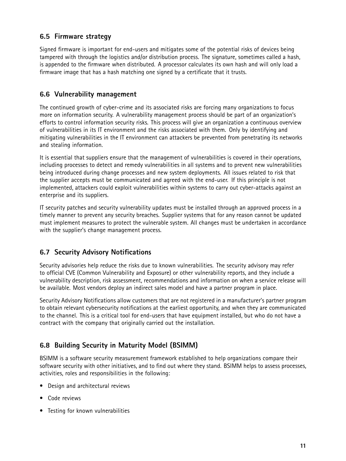#### <span id="page-10-0"></span>**6.5 Firmware strategy**

Signed firmware is important for end-users and mitigates some of the potential risks of devices being tampered with through the logistics and/or distribution process. The signature, sometimes called <sup>a</sup> hash, is appended to the firmware when distributed. A processor calculates its own hash and will only load <sup>a</sup> firmware image that has <sup>a</sup> hash matching one signed by <sup>a</sup> certificate that it trusts.

#### **6.6 Vulnerability management**

The continued growth of cyber-crime and its associated risks are forcing many organizations to focus more on information security. A vulnerability management process should be part of an organization's efforts to control information security risks. This process will give an organization <sup>a</sup> continuous overview of vulnerabilities in its IT environment and the risks associated with them. Only by identifying and mitigating vulnerabilities in the IT environment can attackers be prevented from penetrating its networks and stealing information.

It is essential that suppliers ensure that the management of vulnerabilities is covered in their operations, including processes to detect and remedy vulnerabilities in all systems and to prevent new vulnerabilities being introduced during change processes and new system deployments. All issues related to risk that the supplier accepts must be communicated and agreed with the end-user. If this principle is not implemented, attackers could exploit vulnerabilities within systems to carry out cyber-attacks against an enterprise and its suppliers.

IT security patches and security vulnerability updates must be installed through an approved process in <sup>a</sup> timely manner to prevent any security breaches. Supplier systems that for any reason cannot be updated must implement measures to protect the vulnerable system. All changes must be undertaken in accordance with the supplier's change management process.

#### **6.7 Security Advisory Notifications**

Security advisories help reduce the risks due to known vulnerabilities. The security advisory may refer to official CVE (Common Vulnerability and Exposure) or other vulnerability reports, and they include <sup>a</sup> vulnerability description, risk assessment, recommendations and information on when <sup>a</sup> service release will be available. Most vendors deploy an indirect sales model and have <sup>a</sup> partner program in place.

Security Advisory Notifications allow customers that are not registered in <sup>a</sup> manufacturer's partner program to obtain relevant cybersecurity notifications at the earliest opportunity, and when they are communicated to the channel. This is <sup>a</sup> critical tool for end-users that have equipment installed, but who do not have <sup>a</sup> contract with the company that originally carried out the installation.

#### **6.8 Building Security in Maturity Model (BSIMM)**

BSIMM is <sup>a</sup> software security measurement framework established to help organizations compare their software security with other initiatives, and to find out where they stand. BSIMM helps to assess processes, activities, roles and responsibilities in the following:

- Design and architectural reviews
- Code reviews
- Testing for known vulnerabilities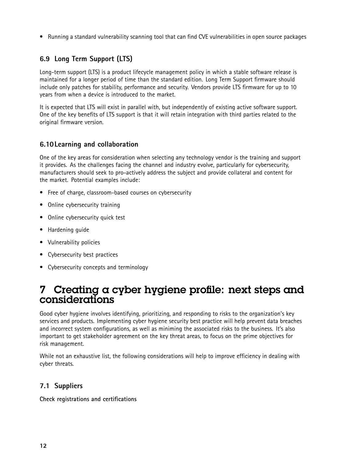<span id="page-11-0"></span>• Running <sup>a</sup> standard vulnerability scanning tool that can find CVE vulnerabilities in open source packages

#### **6.9 Long Term Support (LTS)**

Long-term support (LTS) is <sup>a</sup> product lifecycle management policy in which <sup>a</sup> stable software release is maintained for <sup>a</sup> longer period of time than the standard edition. Long Term Support firmware should include only patches for stability, performance and security. Vendors provide LTS firmware for up to 10 years from when <sup>a</sup> device is introduced to the market.

It is expected that LTS will exist in parallel with, but independently of existing active software support. One of the key benefits of LTS support is that it will retain integration with third parties related to the original firmware version.

#### **6.10Learning and collaboration**

One of the key areas for consideration when selecting any technology vendor is the training and support it provides. As the challenges facing the channel and industry evolve, particularly for cybersecurity, manufacturers should seek to pro-actively address the subject and provide collateral and content for the market. Potential examples include:

- Free of charge, classroom-based courses on cybersecurity
- •Online cybersecurity training
- •Online cybersecurity quick test
- •Hardening guide
- •Vulnerability policies
- •Cybersecurity best practices
- Cybersecurity concepts and terminology

### 7 Creating <sup>a</sup> cyber hygiene profile: next steps and considerations

Good cyber hygiene involves identifying, prioritizing, and responding to risks to the organization's key services and products. Implementing cyber hygiene security best practice will help prevent data breaches and incorrect system configurations, as well as miniming the associated risks to the business. It's also important to get stakeholder agreement on the key threat areas, to focus on the prime objectives for risk management.

While not an exhaustive list, the following considerations will help to improve efficiency in dealing with cyber threats.

#### **7.1 Suppliers**

**Check registrations and certifications**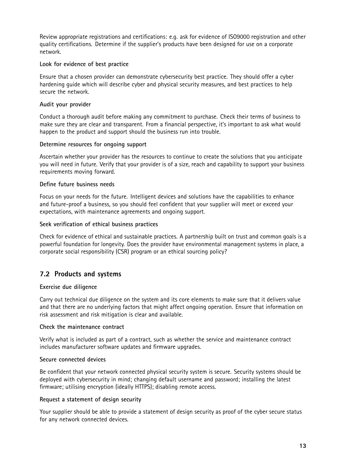<span id="page-12-0"></span>Review appropriate registrations and certifications: e.g. ask for evidence of ISO9000 registration and other quality certifications. Determine if the supplier's products have been designed for use on <sup>a</sup> corporate network.

#### **Look for evidence of best practice**

Ensure that <sup>a</sup> chosen provider can demonstrate cybersecurity best practice. They should offer <sup>a</sup> cyber hardening guide which will describe cyber and physical security measures, and best practices to help secure the network.

#### **Audit your provider**

Conduct <sup>a</sup> thorough audit before making any commitment to purchase. Check their terms of business to make sure they are clear and transparent. From <sup>a</sup> financial perspective, it's important to ask what would happen to the product and support should the business run into trouble.

#### **Determine resources for ongoing support**

Ascertain whether your provider has the resources to continue to create the solutions that you anticipate you will need in future. Verify that your provider is of <sup>a</sup> size, reach and capability to support your business requirements moving forward.

#### **Define future business needs**

Focus on your needs for the future. Intelligent devices and solutions have the capabilities to enhance and future-proof <sup>a</sup> business, so you should feel confident that your supplier will meet or exceed your expectations, with maintenance agreements and ongoing support.

#### **Seek verification of ethical business practices**

Check for evidence of ethical and sustainable practices. A partnership built on trust and common goals is <sup>a</sup> powerful foundation for longevity. Does the provider have environmental management systems in place, <sup>a</sup> corporate social responsibility (CSR) program or an ethical sourcing policy?

#### **7.2 Products and systems**

#### **Exercise due diligence**

Carry out technical due diligence on the system and its core elements to make sure that it delivers value and that there are no underlying factors that might affect ongoing operation. Ensure that information on risk assessment and risk mitigation is clear and available.

#### **Check the maintenance contract**

Verify what is included as part of <sup>a</sup> contract, such as whether the service and maintenance contract includes manufacturer software updates and firmware upgrades.

#### **Secure connected devices**

Be confident that your network connected physical security system is secure. Security systems should be deployed with cybersecurity in mind; changing default username and password; installing the latest firmware; utilising encryption (ideally HTTPS); disabling remote access.

#### **Request <sup>a</sup> statement of design security**

Your supplier should be able to provide <sup>a</sup> statement of design security as proof of the cyber secure status for any network connected devices.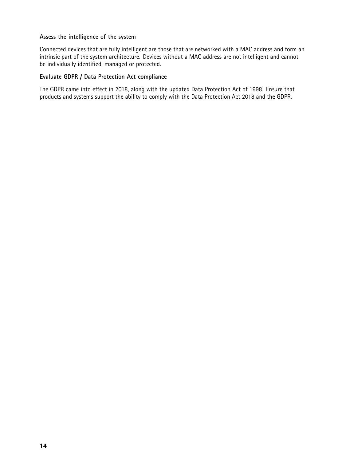#### **Assess the intelligence of the system**

Connected devices that are fully intelligent are those that are networked with <sup>a</sup> MAC address and form an intrinsic part of the system architecture. Devices without <sup>a</sup> MAC address are not intelligent and cannot be individually identified, managed or protected.

#### **Evaluate GDPR / Data Protection Act compliance**

The GDPR came into effect in 2018, along with the updated Data Protection Act of 1998. Ensure that products and systems support the ability to comply with the Data Protection Act 2018 and the GDPR.